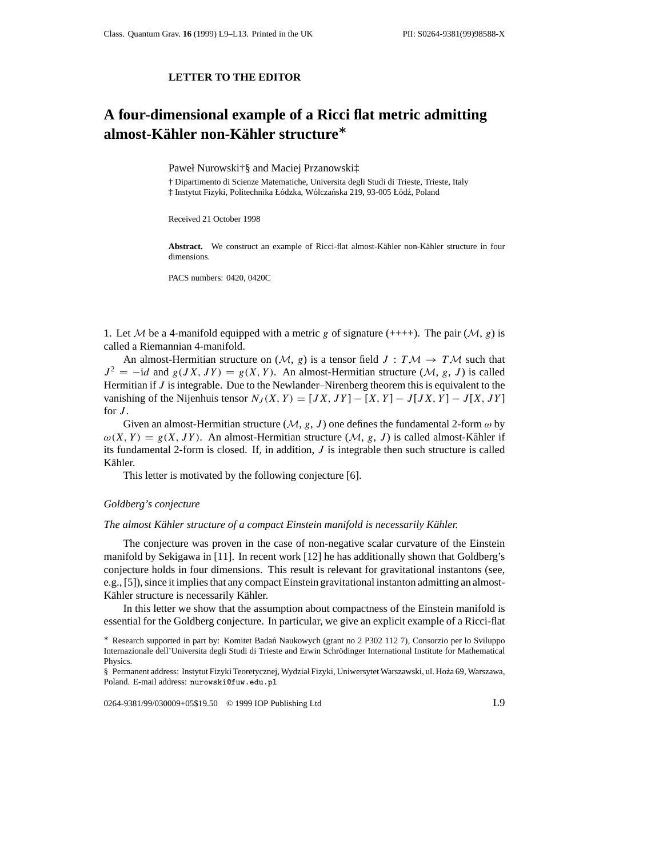## **LETTER TO THE EDITOR**

# **A four-dimensional example of a Ricci flat metric admitting almost-Kahler non-K ¨ ahler structure ¨** *∗*

Paweł Nurowski†§ and Maciej Przanowski‡

† Dipartimento di Scienze Matematiche, Universita degli Studi di Trieste, Trieste, Italy

 $\ddagger$  Instytut Fizyki, Politechnika Łódzka, Wólczańska 219, 93-005 Łódź, Poland

Received 21 October 1998

Abstract. We construct an example of Ricci-flat almost-Kähler non-Kähler structure in four dimensions.

PACS numbers: 0420, 0420C

1. Let M be a 4-manifold equipped with a metric *g* of signature (++++). The pair  $(M, g)$  is called a Riemannian 4-manifold.

An almost-Hermitian structure on  $(M, g)$  is a tensor field  $J : T M \rightarrow T M$  such that  $J^2 = -id$  and  $g(JX, JY) = g(X, Y)$ . An almost-Hermitian structure (*M*, *g*, *J*) is called Hermitian if *J* is integrable. Due to the Newlander–Nirenberg theorem this is equivalent to the vanishing of the Nijenhuis tensor  $N_J(X, Y) = [JX, JY] - [X, Y] - J[JX, Y] - J[X, JY]$ for  $J$ .

Given an almost-Hermitian structure ( $M$ ,  $g$ ,  $J$ ) one defines the fundamental 2-form  $\omega$  by  $\omega(X, Y) = g(X, JY)$ . An almost-Hermitian structure  $(M, g, J)$  is called almost-Kähler if its fundamental 2-form is closed. If, in addition, *J* is integrable then such structure is called Kähler.

This letter is motivated by the following conjecture [6].

#### *Goldberg's conjecture*

#### *The almost Kähler structure of a compact Einstein manifold is necessarily Kähler.*

The conjecture was proven in the case of non-negative scalar curvature of the Einstein manifold by Sekigawa in [11]. In recent work [12] he has additionally shown that Goldberg's conjecture holds in four dimensions. This result is relevant for gravitational instantons (see, e.g., [5]), since it implies that any compact Einstein gravitational instanton admitting an almost-Kähler structure is necessarily Kähler.

In this letter we show that the assumption about compactness of the Einstein manifold is essential for the Goldberg conjecture. In particular, we give an explicit example of a Ricci-flat

0264-9381/99/030009+05\$19.50 © 1999 IOP Publishing Ltd L9

*<sup>∗</sup>* Research supported in part by: Komitet Badan Naukowych (grant no 2 P302 112 7), Consorzio per lo Sviluppo ´ Internazionale dell'Universita degli Studi di Trieste and Erwin Schrodinger International Institute for Mathematical ¨ Physics.

<sup>§</sup> Permanent address: Instytut Fizyki Teoretycznej, Wydział Fizyki, Uniwersytet Warszawski, ul. Hoza 69, Warszawa, ˙ Poland. E-mail address: nurowski@fuw.edu.pl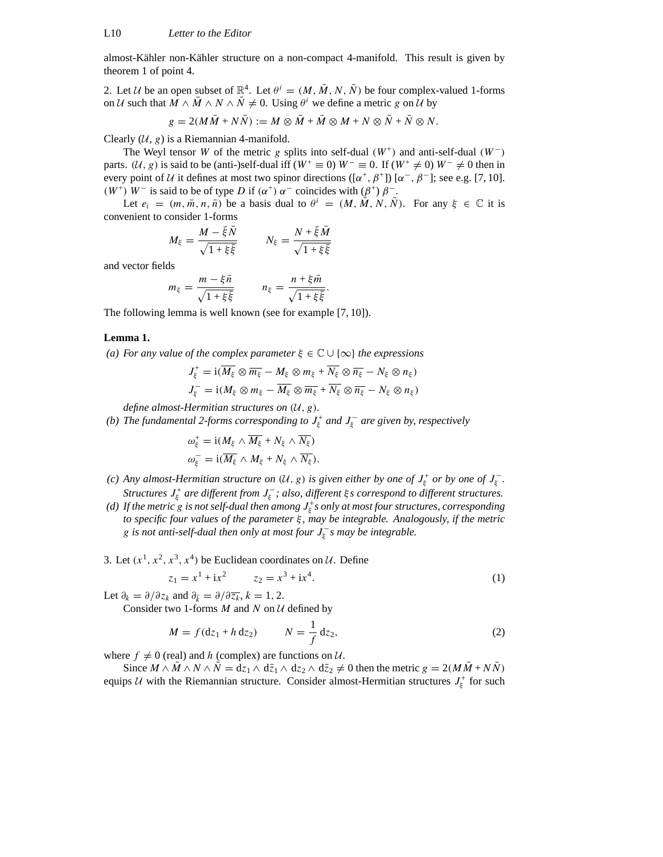almost-Kähler non-Kähler structure on a non-compact 4-manifold. This result is given by theorem 1 of point 4.

2. Let *U* be an open subset of  $\mathbb{R}^4$ . Let  $\theta^i = (M, \overline{M}, N, \overline{N})$  be four complex-valued 1-forms on *U* such that  $M \wedge \overline{M} \wedge N \wedge \overline{N} \neq 0$ . Using  $\theta^i$  we define a metric *g* on *U* by

$$
g = 2(M\overline{M} + N\overline{N}) := M \otimes \overline{M} + \overline{M} \otimes M + N \otimes \overline{N} + \overline{N} \otimes N.
$$

Clearly  $(U, g)$  is a Riemannian 4-manifold.

The Weyl tensor *W* of the metric *g* splits into self-dual  $(W^+)$  and anti-self-dual  $(W^-)$ parts.  $(\mathcal{U}, g)$  is said to be (anti-)self-dual iff  $(W^+ \equiv 0)$   $W^- \equiv 0$ . If  $(W^+ \neq 0)$   $W^- \neq 0$  then in every point of *U* it defines at most two spinor directions ( $[\alpha^+, \beta^+]$ )  $[\alpha^-, \beta^-]$ ; see e.g. [7, 10]. *(W<sup>+</sup>) W*<sup>−</sup> is said to be of type *D* if  $(α<sup>+</sup>) α<sup>−</sup>$  coincides with  $(β<sup>+</sup>) β<sup>−</sup>$ .

Let  $e_i = (m, \overline{m}, n, \overline{n})$  be a basis dual to  $\theta^i = (M, \overline{M}, N, \overline{N})$ . For any  $\xi \in \mathbb{C}$  it is convenient to consider 1-forms

$$
M_{\xi} = \frac{M - \bar{\xi}\bar{N}}{\sqrt{1 + \xi\bar{\xi}}} \qquad N_{\xi} = \frac{N + \bar{\xi}\bar{M}}{\sqrt{1 + \xi\bar{\xi}}}
$$

and vector fields

$$
m_{\xi} = \frac{m - \xi \bar{n}}{\sqrt{1 + \xi \bar{\xi}}} \qquad n_{\xi} = \frac{n + \xi \bar{m}}{\sqrt{1 + \xi \bar{\xi}}}.
$$

The following lemma is well known (see for example [7, 10]).

### **Lemma 1.**

*(a) For any value of the complex parameter ξ* ∈ C ∪ {∞} *the expressions*

$$
J_{\xi}^{+} = \mathrm{i}(\overline{M_{\xi}} \otimes \overline{m_{\xi}} - M_{\xi} \otimes m_{\xi} + \overline{N_{\xi}} \otimes \overline{n_{\xi}} - N_{\xi} \otimes n_{\xi})
$$
  

$$
J_{\xi}^{-} = \mathrm{i}(M_{\xi} \otimes m_{\xi} - \overline{M_{\xi}} \otimes \overline{m_{\xi}} + \overline{N_{\xi}} \otimes \overline{n_{\xi}} - N_{\xi} \otimes n_{\xi})
$$

*define almost-Hermitian structures on (U, g).*

*(b)* The fundamental 2-forms corresponding to  $J_{\xi}^+$  and  $J_{\xi}^-$  are given by, respectively

$$
\omega_{\xi}^{+} = \mathrm{i}(M_{\xi} \wedge \overline{M_{\xi}} + N_{\xi} \wedge \overline{N_{\xi}})
$$

$$
\omega_{\xi}^{-} = \mathrm{i}(\overline{M_{\xi}} \wedge M_{\xi} + N_{\xi} \wedge \overline{N_{\xi}}).
$$

- *(c)* Any almost-Hermitian structure on  $(\mathcal{U}, g)$  is given either by one of  $J_{\xi}^+$  or by one of  $J_{\xi}^-$ . *Structures*  $J_{\xi}^{+}$  *are different from*  $J_{\xi}^{-}$ ; *also, different*  $\xi$ *s correspond to different structures.*
- (d) If the metric  $\stackrel{\textstyle >}{\textstyle <}$  is not self-dual then among  $J_\xi^+$ s only at most four structures, corresponding *to specific four values of the parameter ξ , may be integrable. Analogously, if the metric g is not anti-self-dual then only at most four*  $J_{\xi}^-$ *s may be integrable.*

3. Let  $(x^1, x^2, x^3, x^4)$  be Euclidean coordinates on *U*. Define

$$
z_1 = x^1 + ix^2 \qquad z_2 = x^3 + ix^4. \tag{1}
$$

Let  $\partial_k = \partial/\partial z_k$  and  $\partial_{\bar{k}} = \partial/\partial \overline{z_k}$ ,  $k = 1, 2$ .

Consider two 1-forms *M* and *N* on *U* defined by

$$
M = f(\mathrm{d}z_1 + h \, \mathrm{d}z_2) \qquad N = \frac{1}{f} \, \mathrm{d}z_2,\tag{2}
$$

where  $f \neq 0$  (real) and *h* (complex) are functions on *U*.

Since  $M \wedge M \wedge N \wedge N = d_{z_1} \wedge d_{z_1} \wedge d_{z_2} \wedge d_{z_2} \neq 0$  then the metric  $g = 2(MM + NN)$ equips *U* with the Riemannian structure. Consider almost-Hermitian structures  $J_{\xi}^{+}$  for such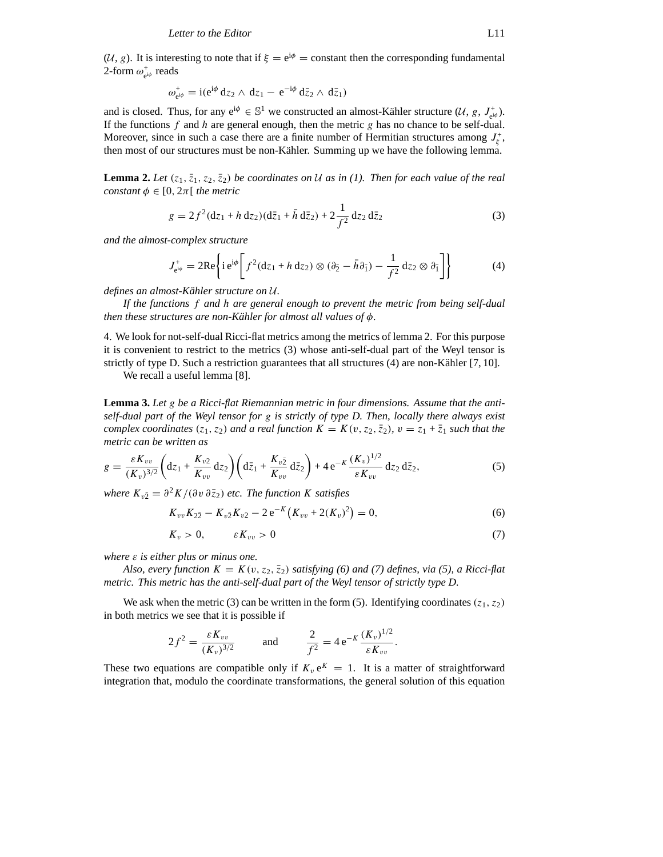$(U, g)$ . It is interesting to note that if  $\xi = e^{i\phi}$  = constant then the corresponding fundamental 2-form  $ω_{e^{i\phi}}^+$  reads

$$
\omega_{e^{i\phi}}^+ = i(e^{i\phi} dz_2 \wedge dz_1 - e^{-i\phi} d\bar{z}_2 \wedge d\bar{z}_1)
$$

and is closed. Thus, for any  $e^{i\phi} \in \mathbb{S}^1$  we constructed an almost-Kähler structure  $(\mathcal{U}, g, J^+_{e^{i\phi}})$ . If the functions *f* and *h* are general enough, then the metric *g* has no chance to be self-dual. Moreover, since in such a case there are a finite number of Hermitian structures among  $J_{\xi}^{+}$ , then most of our structures must be non-Kähler. Summing up we have the following lemma.

**Lemma 2.** Let  $(z_1, \bar{z}_1, z_2, \bar{z}_2)$  be coordinates on U as in (1). Then for each value of the real *constant*  $\phi \in [0, 2\pi]$  *the metric* 

$$
g = 2f^2(\mathrm{d}z_1 + h \, \mathrm{d}z_2)(\mathrm{d}\bar{z}_1 + \bar{h} \, \mathrm{d}\bar{z}_2) + 2\frac{1}{f^2} \, \mathrm{d}z_2 \, \mathrm{d}\bar{z}_2 \tag{3}
$$

*and the almost-complex structure*

$$
J_{e^{i\phi}}^{+} = 2\text{Re}\left\{i e^{i\phi} \left[ f^{2}(dz_{1} + h dz_{2}) \otimes (\partial_{\bar{2}} - \bar{h}\partial_{\bar{1}}) - \frac{1}{f^{2}} dz_{2} \otimes \partial_{\bar{1}} \right] \right\}
$$
(4)

*defines an almost-Kähler structure on U.* 

*If the functions f and h are general enough to prevent the metric from being self-dual then these structures are non-Kähler for almost all values of*  $\phi$ *.* 

4. We look for not-self-dual Ricci-flat metrics among the metrics of lemma 2. For this purpose it is convenient to restrict to the metrics (3) whose anti-self-dual part of the Weyl tensor is strictly of type D. Such a restriction guarantees that all structures  $(4)$  are non-Kähler  $[7, 10]$ .

We recall a useful lemma [8].

**Lemma 3.** *Let g be a Ricci-flat Riemannian metric in four dimensions. Assume that the antiself-dual part of the Weyl tensor for g is strictly of type D. Then, locally there always exist complex coordinates*  $(z_1, z_2)$  *and a real function*  $K = K(v, z_2, \overline{z}_2)$ ,  $v = z_1 + \overline{z}_1$  *such that the metric can be written as*

$$
g = \frac{\varepsilon K_{vv}}{(K_v)^{3/2}} \left( dz_1 + \frac{K_{v2}}{K_{vv}} dz_2 \right) \left( d\bar{z}_1 + \frac{K_{v\bar{z}}}{K_{vv}} d\bar{z}_2 \right) + 4 e^{-K} \frac{(K_v)^{1/2}}{\varepsilon K_{vv}} dz_2 d\bar{z}_2, \tag{5}
$$

*where*  $K_{v\bar{2}} = \partial^2 K/(\partial v \partial \bar{z}_2)$  *etc. The function K satisfies* 

$$
K_{vv}K_{2\bar{2}} - K_{v\bar{2}}K_{v2} - 2e^{-K}(K_{vv} + 2(K_v)^2) = 0,
$$
\n(6)

$$
K_v > 0, \qquad \varepsilon K_{vv} > 0 \tag{7}
$$

*where ε is either plus or minus one.*

*Also, every function*  $K = K(v, z_2, \overline{z}_2)$  *satisfying* (6) and (7) defines, via (5), a Ricci-flat *metric. This metric has the anti-self-dual part of the Weyl tensor of strictly type D.*

We ask when the metric (3) can be written in the form (5). Identifying coordinates  $(z_1, z_2)$ in both metrics we see that it is possible if

$$
2f^{2} = \frac{\varepsilon K_{vv}}{(K_{v})^{3/2}} \quad \text{and} \quad \frac{2}{f^{2}} = 4 e^{-K} \frac{(K_{v})^{1/2}}{\varepsilon K_{vv}}.
$$

These two equations are compatible only if  $K_v e^K = 1$ . It is a matter of straightforward integration that, modulo the coordinate transformations, the general solution of this equation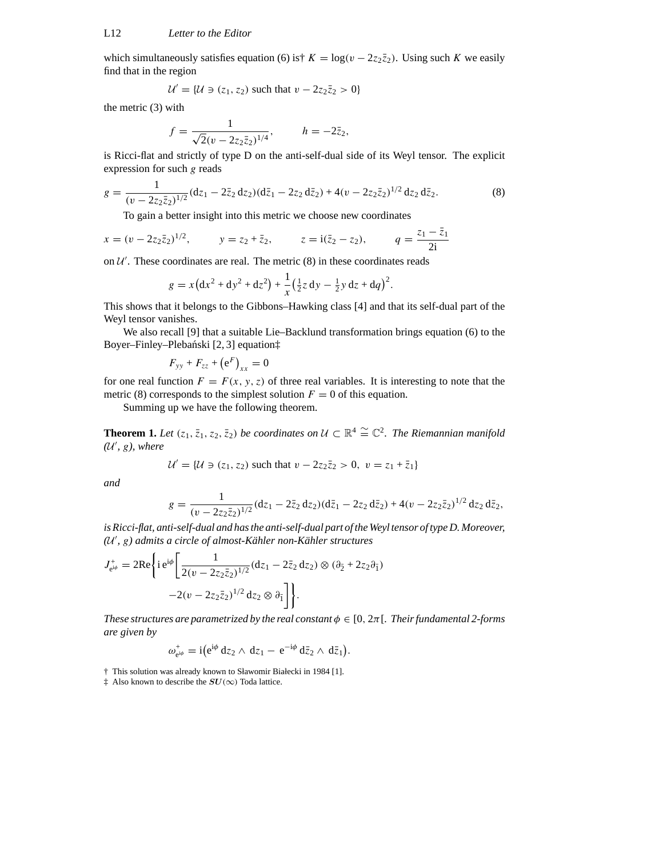which simultaneously satisfies equation (6) is†  $K = \log(v - 2z_2\overline{z}_2)$ . Using such *K* we easily find that in the region

$$
\mathcal{U}' = \{ \mathcal{U} \ni (z_1, z_2) \text{ such that } v - 2z_2 \overline{z}_2 > 0 \}
$$

the metric (3) with

$$
f = \frac{1}{\sqrt{2}(v - 2z_2 \bar{z}_2)^{1/4}}, \qquad h = -2\bar{z}_2,
$$

is Ricci-flat and strictly of type D on the anti-self-dual side of its Weyl tensor. The explicit expression for such *g* reads

$$
g = \frac{1}{(v - 2z_2 \bar{z}_2)^{1/2}} (dz_1 - 2\bar{z}_2 dz_2)(d\bar{z}_1 - 2z_2 d\bar{z}_2) + 4(v - 2z_2 \bar{z}_2)^{1/2} dz_2 d\bar{z}_2.
$$
 (8)

To gain a better insight into this metric we choose new coordinates

$$
x = (v - 2z_2\bar{z}_2)^{1/2}
$$
,  $y = z_2 + \bar{z}_2$ ,  $z = i(\bar{z}_2 - z_2)$ ,  $q = \frac{z_1 - \bar{z}_1}{2i}$ 

on  $U'$ . These coordinates are real. The metric  $(8)$  in these coordinates reads

$$
g = x (dx2 + dy2 + dz2) + \frac{1}{x} (\frac{1}{2}z dy - \frac{1}{2}y dz + dq)2.
$$

This shows that it belongs to the Gibbons–Hawking class [4] and that its self-dual part of the Weyl tensor vanishes.

We also recall [9] that a suitable Lie–Backlund transformation brings equation (6) to the Boyer–Finley–Plebański [2, 3] equation $\ddagger$ 

$$
F_{yy} + F_{zz} + \left(e^F\right)_{xx} = 0
$$

for one real function  $F = F(x, y, z)$  of three real variables. It is interesting to note that the metric (8) corresponds to the simplest solution  $F = 0$  of this equation.

Summing up we have the following theorem.

**Theorem 1.** *Let*  $(z_1, \overline{z_1}, z_2, \overline{z_2})$  *be coordinates on*  $\mathcal{U} \subset \mathbb{R}^4 \cong \mathbb{C}^2$ . *The Riemannian manifold (U*0 *, g), where*

$$
\mathcal{U}' = \{ \mathcal{U} \ni (z_1, z_2) \text{ such that } v - 2z_2 \bar{z}_2 > 0, \ v = z_1 + \bar{z}_1 \}
$$

*and*

$$
g = \frac{1}{(v - 2z_2\bar{z}_2)^{1/2}} (dz_1 - 2\bar{z}_2 dz_2) (d\bar{z}_1 - 2z_2 d\bar{z}_2) + 4(v - 2z_2\bar{z}_2)^{1/2} dz_2 d\bar{z}_2,
$$

*is Ricci-flat, anti-self-dual and has the anti-self-dual part of the Weyl tensor of type D. Moreover,*  $(\mathcal{U}', g)$  admits a circle of almost-Kähler non-Kähler structures

$$
J_{e^{i\phi}}^{+} = 2\text{Re}\left\{i e^{i\phi} \left[\frac{1}{2(v - 2z_{2}\bar{z}_{2})^{1/2}}(dz_{1} - 2\bar{z}_{2} dz_{2}) \otimes (\partial_{\bar{2}} + 2z_{2}\partial_{\bar{1}}) -2(v - 2z_{2}\bar{z}_{2})^{1/2} dz_{2} \otimes \partial_{\bar{1}}\right]\right\}.
$$

*These structures are parametrized by the real constant*  $\phi \in [0, 2\pi]$ *. Their fundamental 2-forms are given by*

$$
\omega_{e^{i\phi}}^+ = i \big( e^{i\phi} \, dz_2 \wedge \, dz_1 - e^{-i\phi} \, d\bar{z}_2 \wedge \, d\bar{z}_1 \big).
$$

† This solution was already known to Sławomir Białecki in 1984 [1].

 $\ddagger$  Also known to describe the  $SU(\infty)$  Toda lattice.